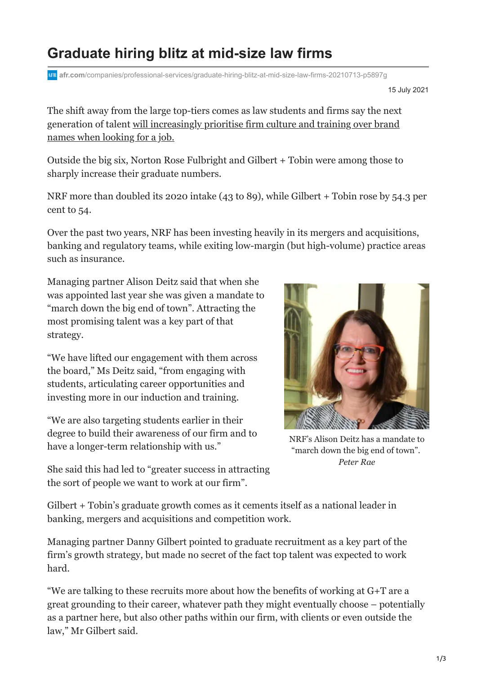## **Graduate hiring blitz at mid-size law firms**

**afr.com**[/companies/professional-services/graduate-hiring-blitz-at-mid-size-law-firms-20210713-p5897g](https://www.afr.com/companies/professional-services/graduate-hiring-blitz-at-mid-size-law-firms-20210713-p5897g)

15 July 2021

The shift away from the large top-tiers comes as law students and firms say the next [generation of talent will increasingly prioritise firm culture and training over brand](https://www.afr.com/companies/professional-services/nightmare-dressed-up-as-a-holiday-young-lawyers-rue-virus-workload-20210513-p57rpx) names when looking for a job.

Outside the big six, Norton Rose Fulbright and Gilbert + Tobin were among those to sharply increase their graduate numbers.

NRF more than doubled its 2020 intake (43 to 89), while Gilbert + Tobin rose by 54.3 per cent to 54.

Over the past two years, NRF has been investing heavily in its mergers and acquisitions, banking and regulatory teams, while exiting low-margin (but high-volume) practice areas such as insurance.

Managing partner Alison Deitz said that when she was appointed last year she was given a mandate to "march down the big end of town". Attracting the most promising talent was a key part of that strategy.

"We have lifted our engagement with them across the board," Ms Deitz said, "from engaging with students, articulating career opportunities and investing more in our induction and training.

"We are also targeting students earlier in their degree to build their awareness of our firm and to have a longer-term relationship with us."



NRF's Alison Deitz has a mandate to "march down the big end of town". *Peter Rae*

She said this had led to "greater success in attracting the sort of people we want to work at our firm".

Gilbert + Tobin's graduate growth comes as it cements itself as a national leader in banking, mergers and acquisitions and competition work.

Managing partner Danny Gilbert pointed to graduate recruitment as a key part of the firm's growth strategy, but made no secret of the fact top talent was expected to work hard.

"We are talking to these recruits more about how the benefits of working at G+T are a great grounding to their career, whatever path they might eventually choose – potentially as a partner here, but also other paths within our firm, with clients or even outside the law," Mr Gilbert said.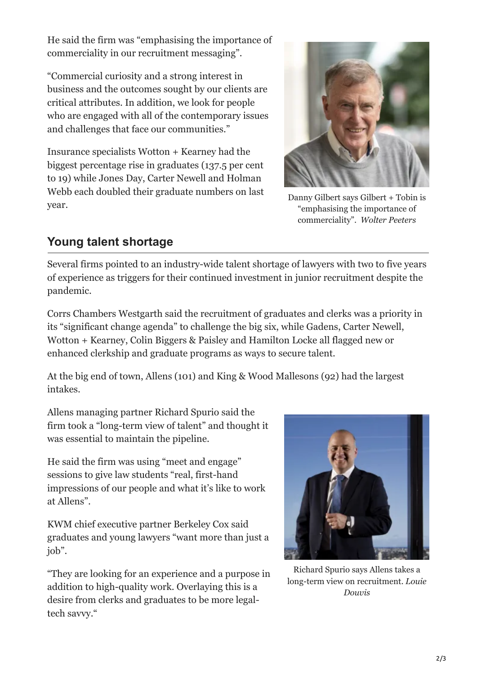He said the firm was "emphasising the importance of commerciality in our recruitment messaging".

"Commercial curiosity and a strong interest in business and the outcomes sought by our clients are critical attributes. In addition, we look for people who are engaged with all of the contemporary issues and challenges that face our communities."

Insurance specialists Wotton + Kearney had the biggest percentage rise in graduates (137.5 per cent to 19) while Jones Day, Carter Newell and Holman Webb each doubled their graduate numbers on last year.



Danny Gilbert says Gilbert + Tobin is "emphasising the importance of commerciality". *Wolter Peeters*

## **Young talent shortage**

Several firms pointed to an industry-wide talent shortage of lawyers with two to five years of experience as triggers for their continued investment in junior recruitment despite the pandemic.

Corrs Chambers Westgarth said the recruitment of graduates and clerks was a priority in its "significant change agenda" to challenge the big six, while Gadens, Carter Newell, Wotton + Kearney, Colin Biggers & Paisley and Hamilton Locke all flagged new or enhanced clerkship and graduate programs as ways to secure talent.

At the big end of town, Allens (101) and King & Wood Mallesons (92) had the largest intakes.

Allens managing partner Richard Spurio said the firm took a "long-term view of talent" and thought it was essential to maintain the pipeline.

He said the firm was using "meet and engage" sessions to give law students "real, first-hand impressions of our people and what it's like to work at Allens".

KWM chief executive partner Berkeley Cox said graduates and young lawyers "want more than just a job".

"They are looking for an experience and a purpose in addition to high-quality work. Overlaying this is a desire from clerks and graduates to be more legaltech savvy."



Richard Spurio says Allens takes a long-term view on recruitment. *Louie Douvis*